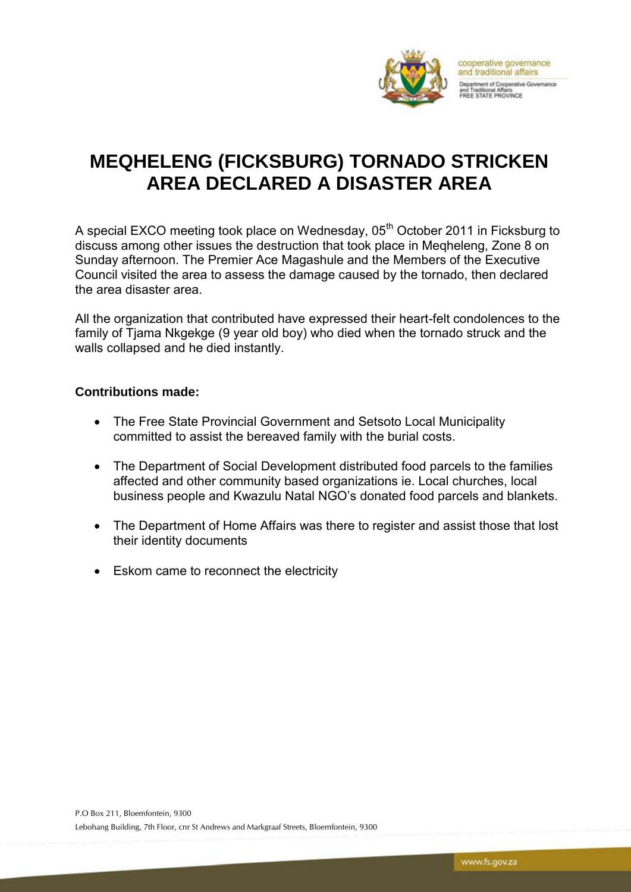

## **MEQHELENG (FICKSBURG) TORNADO STRICKEN AREA DECLARED A DISASTER AREA**

A special EXCO meeting took place on Wednesday, 05<sup>th</sup> October 2011 in Ficksburg to discuss among other issues the destruction that took place in Meqheleng, Zone 8 on Sunday afternoon. The Premier Ace Magashule and the Members of the Executive Council visited the area to assess the damage caused by the tornado, then declared the area disaster area.

All the organization that contributed have expressed their heart-felt condolences to the family of Tjama Nkgekge (9 year old boy) who died when the tornado struck and the walls collapsed and he died instantly.

## **Contributions made:**

- The Free State Provincial Government and Setsoto Local Municipality committed to assist the bereaved family with the burial costs.
- The Department of Social Development distributed food parcels to the families affected and other community based organizations ie. Local churches, local business people and Kwazulu Natal NGO's donated food parcels and blankets.
- The Department of Home Affairs was there to register and assist those that lost their identity documents
- Eskom came to reconnect the electricity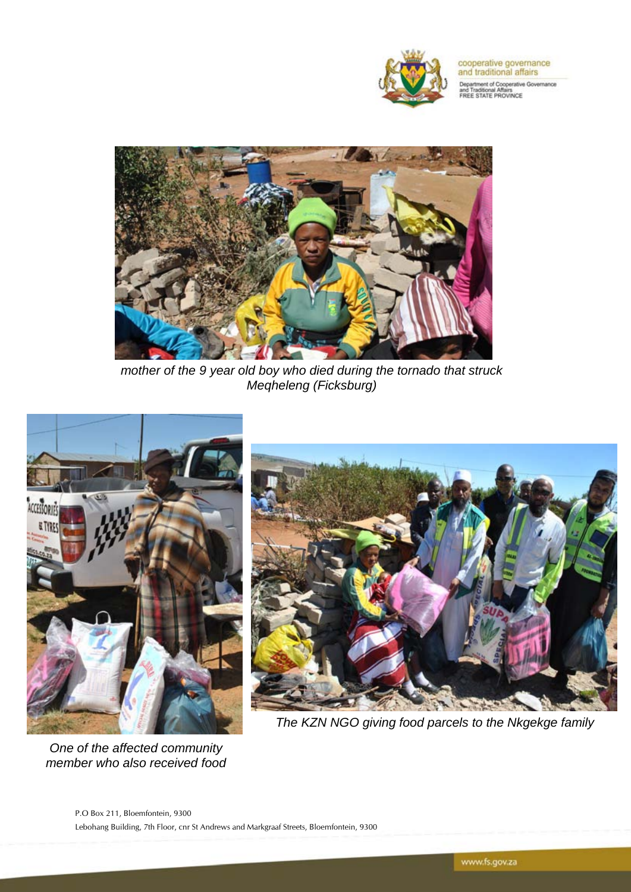

cooperative governance<br>and traditional affairs

**Department of Cooperative Governance**<br>and Traditional Affairs<br>FREE STATE PROVINCE



*mother of the 9 year old boy who died during the tornado that struck Meqheleng (Ficksburg)*



*One of the affected community member who also received food* 



*The KZN NGO giving food parcels to the Nkgekge family*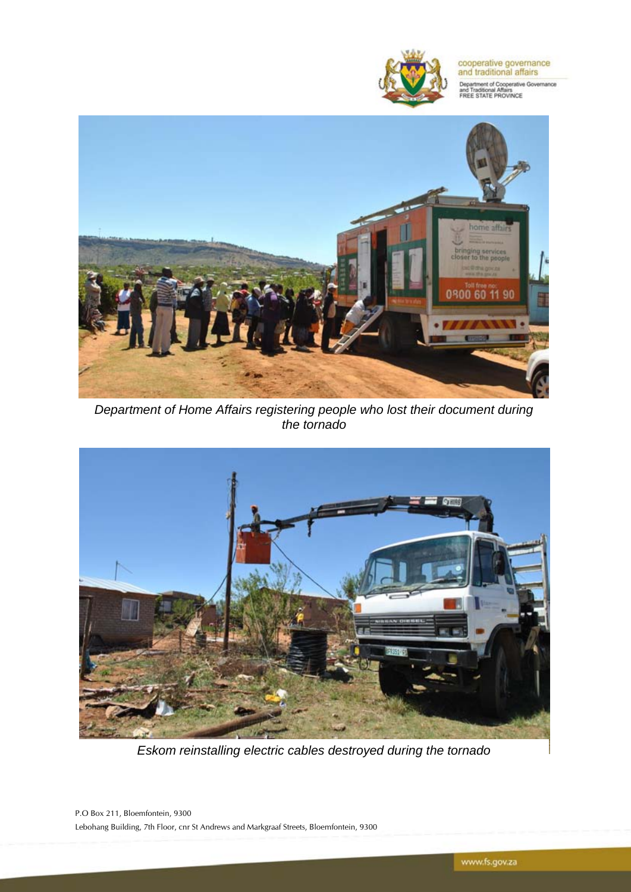

cooperative governance<br>and traditional affairs

**Department of Cooperative Governance**<br>and Traditional Affairs<br>FREE STATE PROVINCE



*Department of Home Affairs registering people who lost their document during the tornado*



*Eskom reinstalling electric cables destroyed during the tornado*

P.O Box 211, Bloemfontein, 9300 Lebohang Building, 7th Floor, cnr St Andrews and Markgraaf Streets, Bloemfontein, 9300